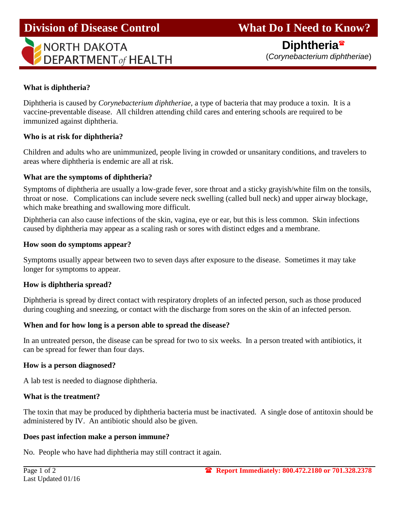# **Division of Disease Control What Do I Need to Know?**



 **Diphtheria** (*Corynebacterium diphtheriae*)

#### **What is diphtheria?**

Diphtheria is caused by *Corynebacterium diphtheriae,* a type of bacteria that may produce a toxin. It is a vaccine-preventable disease. All children attending child cares and entering schools are required to be immunized against diphtheria.

#### **Who is at risk for diphtheria?**

Children and adults who are unimmunized, people living in crowded or unsanitary conditions, and travelers to areas where diphtheria is endemic are all at risk.

#### **What are the symptoms of diphtheria?**

Symptoms of diphtheria are usually a low-grade fever, sore throat and a sticky grayish/white film on the tonsils, throat or nose. Complications can include severe neck swelling (called bull neck) and upper airway blockage, which make breathing and swallowing more difficult.

Diphtheria can also cause infections of the skin, vagina, eye or ear, but this is less common. Skin infections caused by diphtheria may appear as a scaling rash or sores with distinct edges and a membrane.

#### **How soon do symptoms appear?**

Symptoms usually appear between two to seven days after exposure to the disease. Sometimes it may take longer for symptoms to appear.

#### **How is diphtheria spread?**

Diphtheria is spread by direct contact with respiratory droplets of an infected person, such as those produced during coughing and sneezing, or contact with the discharge from sores on the skin of an infected person.

## **When and for how long is a person able to spread the disease?**

In an untreated person, the disease can be spread for two to six weeks. In a person treated with antibiotics, it can be spread for fewer than four days.

#### **How is a person diagnosed?**

A lab test is needed to diagnose diphtheria.

#### **What is the treatment?**

The toxin that may be produced by diphtheria bacteria must be inactivated. A single dose of antitoxin should be administered by IV. An antibiotic should also be given.

#### **Does past infection make a person immune?**

No. People who have had diphtheria may still contract it again.